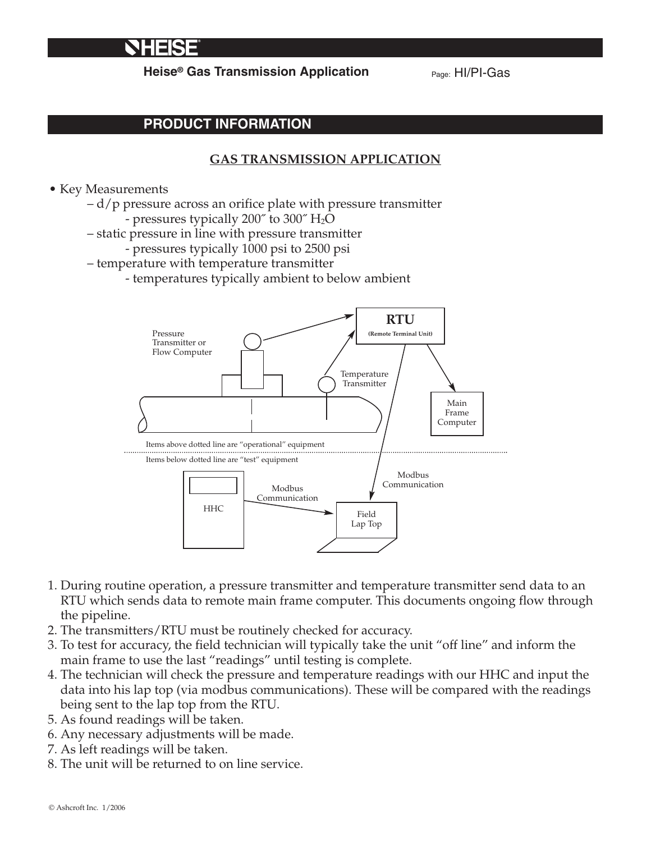# NHERE

**Heise<sup>®</sup> Gas Transmission Application** Page: HI/PI-Gas

## **PRODUCT INFORMATION**

## **GAS TRANSMISSION APPLICATION**

#### • Key Measurements

- d/p pressure across an orifice plate with pressure transmitter
	- pressures typically 200 $\degree$  to 300 $\degree$  H<sub>2</sub>O
- static pressure in line with pressure transmitter
	- pressures typically 1000 psi to 2500 psi
- temperature with temperature transmitter
	- temperatures typically ambient to below ambient



- 1. During routine operation, a pressure transmitter and temperature transmitter send data to an RTU which sends data to remote main frame computer. This documents ongoing flow through the pipeline.
- 2. The transmitters/RTU must be routinely checked for accuracy.
- 3. To test for accuracy, the field technician will typically take the unit "off line" and inform the main frame to use the last "readings" until testing is complete.
- 4. The technician will check the pressure and temperature readings with our HHC and input the data into his lap top (via modbus communications). These will be compared with the readings being sent to the lap top from the RTU.
- 5. As found readings will be taken.
- 6. Any necessary adjustments will be made.
- 7. As left readings will be taken.
- 8. The unit will be returned to on line service.